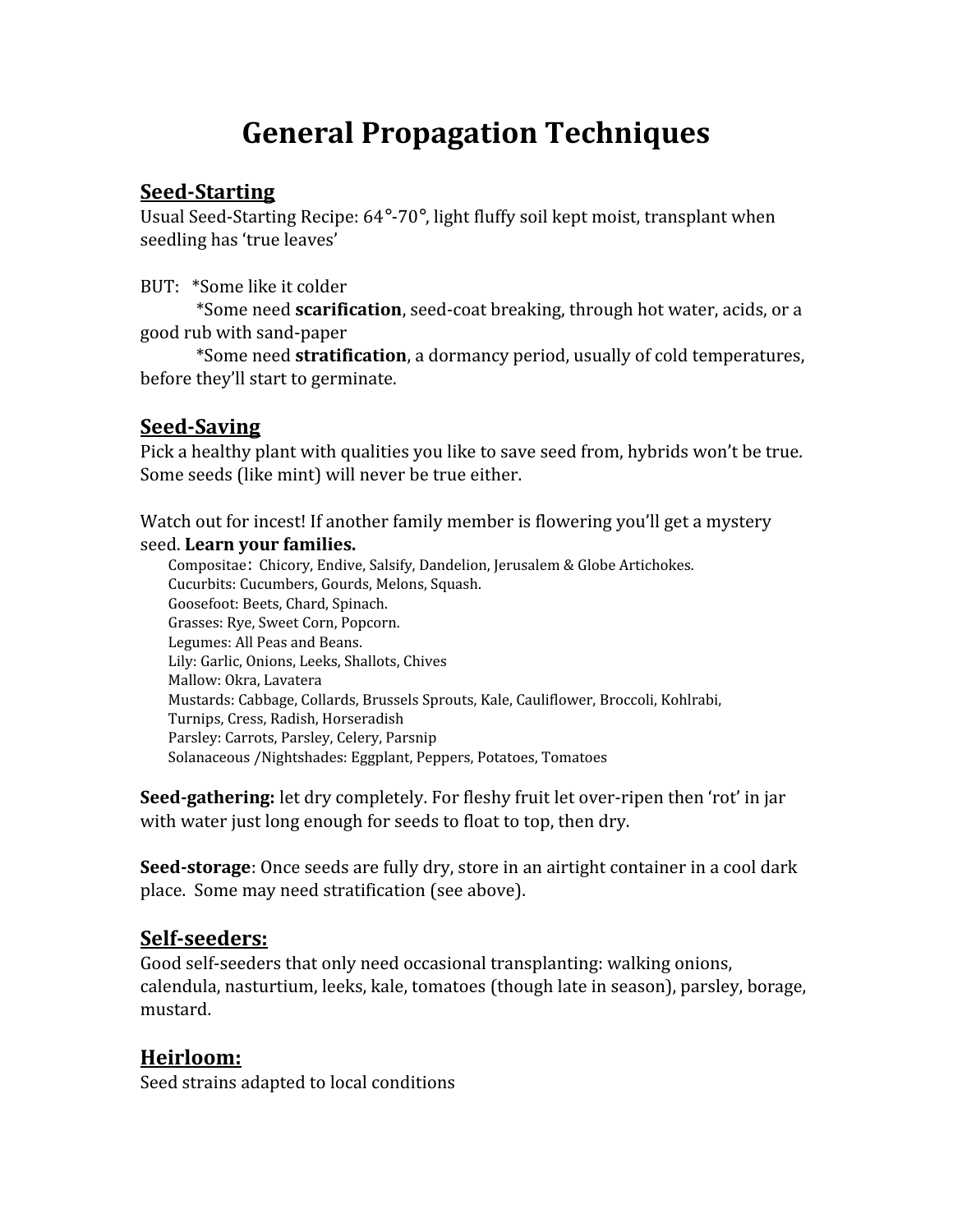# **General Propagation Techniques**

#### **Seed-Starting**

Usual Seed-Starting Recipe: 64°-70°, light fluffy soil kept moist, transplant when seedling has 'true leaves'

BUT: \*Some like it colder

\*Some need **scarification**, seed-coat breaking, through hot water, acids, or a good rub with sand-paper

\*Some need **stratification**, a dormancy period, usually of cold temperatures, before they'll start to germinate.

## **Seed-Saving**

Pick a healthy plant with qualities you like to save seed from, hybrids won't be true. Some seeds (like mint) will never be true either.

Watch out for incest! If another family member is flowering you'll get a mystery seed. **Learn your families.**

Compositae: Chicory, Endive, Salsify, Dandelion, Jerusalem & Globe Artichokes. Cucurbits: Cucumbers, Gourds, Melons, Squash. Goosefoot: Beets, Chard, Spinach. Grasses: Rye, Sweet Corn, Popcorn. Legumes: All Peas and Beans. Lily: Garlic, Onions, Leeks, Shallots, Chives Mallow: Okra, Lavatera Mustards: Cabbage, Collards, Brussels Sprouts, Kale, Cauliflower, Broccoli, Kohlrabi, Turnips, Cress, Radish, Horseradish Parsley: Carrots, Parsley, Celery, Parsnip Solanaceous /Nightshades: Eggplant, Peppers, Potatoes, Tomatoes

**Seed-gathering:** let dry completely. For fleshy fruit let over-ripen then 'rot' in jar with water just long enough for seeds to float to top, then dry.

**Seed-storage**: Once seeds are fully dry, store in an airtight container in a cool dark place. Some may need stratification (see above).

## **Self-seeders:**

Good self-seeders that only need occasional transplanting: walking onions, calendula, nasturtium, leeks, kale, tomatoes (though late in season), parsley, borage, mustard.

## **Heirloom:**

Seed strains adapted to local conditions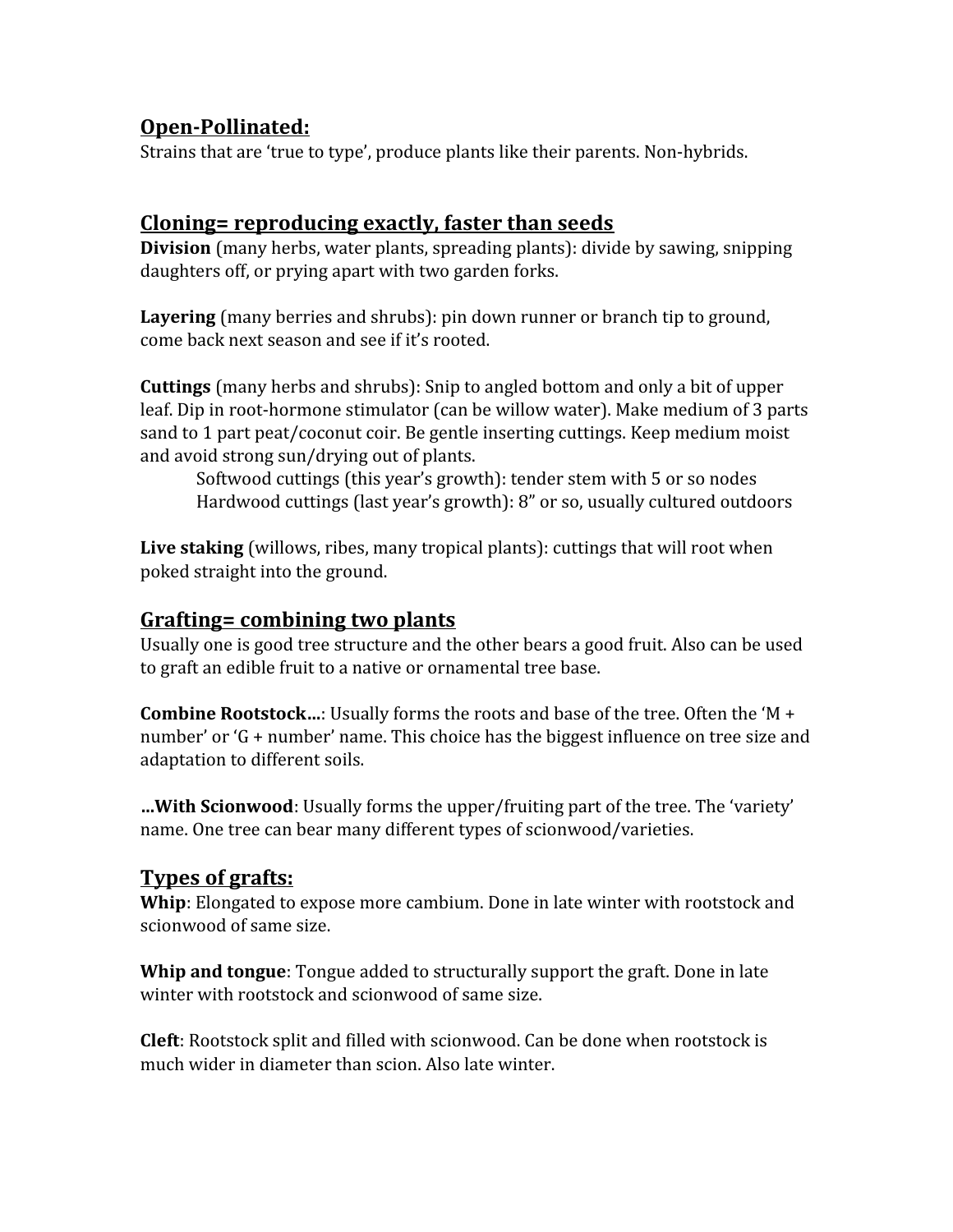## **Open-Pollinated:**

Strains that are 'true to type', produce plants like their parents. Non-hybrids.

#### **Cloning= reproducing exactly, faster than seeds**

**Division** (many herbs, water plants, spreading plants): divide by sawing, snipping daughters off, or prying apart with two garden forks.

**Layering** (many berries and shrubs): pin down runner or branch tip to ground, come back next season and see if it's rooted.

**Cuttings** (many herbs and shrubs): Snip to angled bottom and only a bit of upper leaf. Dip in root-hormone stimulator (can be willow water). Make medium of 3 parts sand to 1 part peat/coconut coir. Be gentle inserting cuttings. Keep medium moist and avoid strong sun/drying out of plants.

Softwood cuttings (this year's growth): tender stem with 5 or so nodes Hardwood cuttings (last year's growth): 8" or so, usually cultured outdoors

**Live staking** (willows, ribes, many tropical plants): cuttings that will root when poked straight into the ground.

#### **Grafting= combining two plants**

Usually one is good tree structure and the other bears a good fruit. Also can be used to graft an edible fruit to a native or ornamental tree base.

**Combine Rootstock…**: Usually forms the roots and base of the tree. Often the 'M + number' or 'G + number' name. This choice has the biggest influence on tree size and adaptation to different soils.

**…With Scionwood**: Usually forms the upper/fruiting part of the tree. The 'variety' name. One tree can bear many different types of scionwood/varieties.

## **Types of grafts:**

**Whip**: Elongated to expose more cambium. Done in late winter with rootstock and scionwood of same size.

**Whip and tongue**: Tongue added to structurally support the graft. Done in late winter with rootstock and scionwood of same size.

**Cleft**: Rootstock split and filled with scionwood. Can be done when rootstock is much wider in diameter than scion. Also late winter.